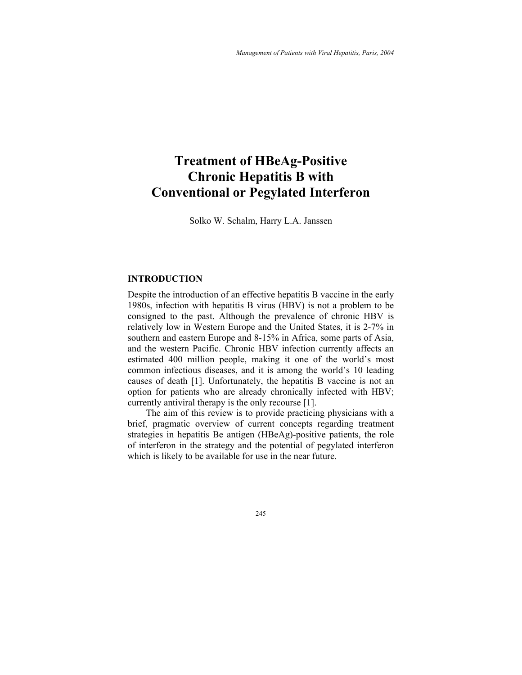# **Treatment of HBeAg-Positive Chronic Hepatitis B with Conventional or Pegylated Interferon**

Solko W. Schalm, Harry L.A. Janssen

## **INTRODUCTION**

Despite the introduction of an effective hepatitis B vaccine in the early 1980s, infection with hepatitis B virus (HBV) is not a problem to be consigned to the past. Although the prevalence of chronic HBV is relatively low in Western Europe and the United States, it is 2-7% in southern and eastern Europe and 8-15% in Africa, some parts of Asia, and the western Pacific. Chronic HBV infection currently affects an estimated 400 million people, making it one of the world's most common infectious diseases, and it is among the world's 10 leading causes of death [1]. Unfortunately, the hepatitis B vaccine is not an option for patients who are already chronically infected with HBV; currently antiviral therapy is the only recourse [1].

The aim of this review is to provide practicing physicians with a brief, pragmatic overview of current concepts regarding treatment strategies in hepatitis Be antigen (HBeAg)-positive patients, the role of interferon in the strategy and the potential of pegylated interferon which is likely to be available for use in the near future.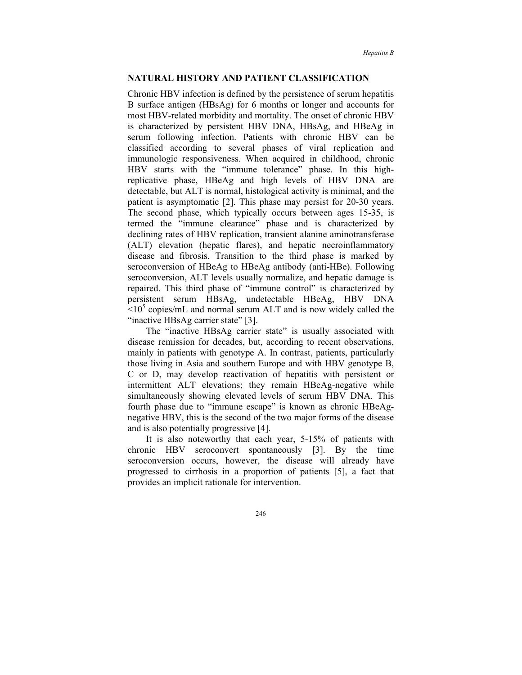### **NATURAL HISTORY AND PATIENT CLASSIFICATION**

Chronic HBV infection is defined by the persistence of serum hepatitis B surface antigen (HBsAg) for 6 months or longer and accounts for most HBV-related morbidity and mortality. The onset of chronic HBV is characterized by persistent HBV DNA, HBsAg, and HBeAg in serum following infection. Patients with chronic HBV can be classified according to several phases of viral replication and immunologic responsiveness. When acquired in childhood, chronic HBV starts with the "immune tolerance" phase. In this highreplicative phase, HBeAg and high levels of HBV DNA are detectable, but ALT is normal, histological activity is minimal, and the patient is asymptomatic [2]. This phase may persist for 20-30 years. The second phase, which typically occurs between ages 15-35, is termed the "immune clearance" phase and is characterized by declining rates of HBV replication, transient alanine aminotransferase (ALT) elevation (hepatic flares), and hepatic necroinflammatory disease and fibrosis. Transition to the third phase is marked by seroconversion of HBeAg to HBeAg antibody (anti-HBe). Following seroconversion, ALT levels usually normalize, and hepatic damage is repaired. This third phase of "immune control" is characterized by persistent serum HBsAg, undetectable HBeAg, HBV DNA  $\approx 10^5$  copies/mL and normal serum ALT and is now widely called the "inactive HBsAg carrier state" [3].

The "inactive HBsAg carrier state" is usually associated with disease remission for decades, but, according to recent observations, mainly in patients with genotype A. In contrast, patients, particularly those living in Asia and southern Europe and with HBV genotype B, C or D, may develop reactivation of hepatitis with persistent or intermittent ALT elevations; they remain HBeAg-negative while simultaneously showing elevated levels of serum HBV DNA. This fourth phase due to "immune escape" is known as chronic HBeAgnegative HBV, this is the second of the two major forms of the disease and is also potentially progressive [4].

It is also noteworthy that each year, 5-15% of patients with chronic HBV seroconvert spontaneously [3]. By the time seroconversion occurs, however, the disease will already have progressed to cirrhosis in a proportion of patients [5], a fact that provides an implicit rationale for intervention.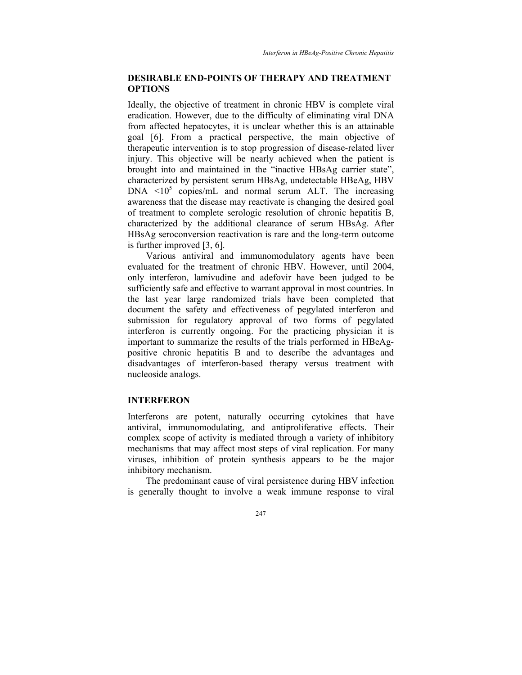## **DESIRABLE END-POINTS OF THERAPY AND TREATMENT OPTIONS**

Ideally, the objective of treatment in chronic HBV is complete viral eradication. However, due to the difficulty of eliminating viral DNA from affected hepatocytes, it is unclear whether this is an attainable goal [6]. From a practical perspective, the main objective of therapeutic intervention is to stop progression of disease-related liver injury. This objective will be nearly achieved when the patient is brought into and maintained in the "inactive HBsAg carrier state", characterized by persistent serum HBsAg, undetectable HBeAg, HBV  $DNA < 10^5$  copies/mL and normal serum ALT. The increasing awareness that the disease may reactivate is changing the desired goal of treatment to complete serologic resolution of chronic hepatitis B, characterized by the additional clearance of serum HBsAg. After HBsAg seroconversion reactivation is rare and the long-term outcome is further improved [3, 6].

Various antiviral and immunomodulatory agents have been evaluated for the treatment of chronic HBV. However, until 2004, only interferon, lamivudine and adefovir have been judged to be sufficiently safe and effective to warrant approval in most countries. In the last year large randomized trials have been completed that document the safety and effectiveness of pegylated interferon and submission for regulatory approval of two forms of pegylated interferon is currently ongoing. For the practicing physician it is important to summarize the results of the trials performed in HBeAgpositive chronic hepatitis B and to describe the advantages and disadvantages of interferon-based therapy versus treatment with nucleoside analogs.

#### **INTERFERON**

Interferons are potent, naturally occurring cytokines that have antiviral, immunomodulating, and antiproliferative effects. Their complex scope of activity is mediated through a variety of inhibitory mechanisms that may affect most steps of viral replication. For many viruses, inhibition of protein synthesis appears to be the major inhibitory mechanism.

The predominant cause of viral persistence during HBV infection is generally thought to involve a weak immune response to viral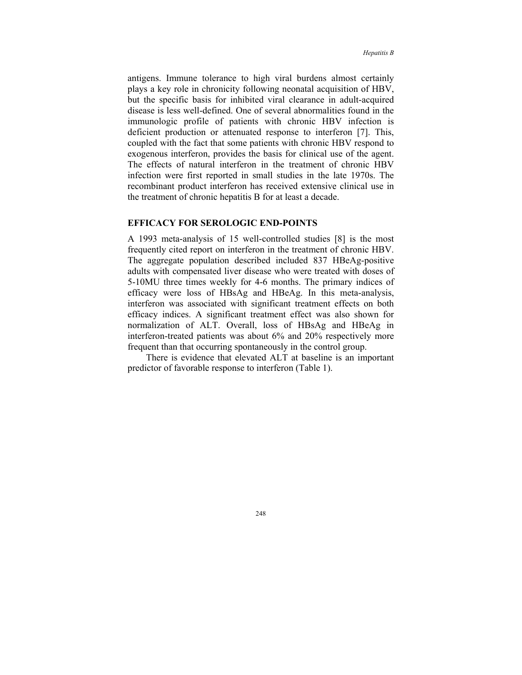antigens. Immune tolerance to high viral burdens almost certainly plays a key role in chronicity following neonatal acquisition of HBV, but the specific basis for inhibited viral clearance in adult-acquired disease is less well-defined. One of several abnormalities found in the immunologic profile of patients with chronic HBV infection is deficient production or attenuated response to interferon [7]. This, coupled with the fact that some patients with chronic HBV respond to exogenous interferon, provides the basis for clinical use of the agent. The effects of natural interferon in the treatment of chronic HBV infection were first reported in small studies in the late 1970s. The recombinant product interferon has received extensive clinical use in the treatment of chronic hepatitis B for at least a decade.

## **EFFICACY FOR SEROLOGIC END-POINTS**

A 1993 meta-analysis of 15 well-controlled studies [8] is the most frequently cited report on interferon in the treatment of chronic HBV. The aggregate population described included 837 HBeAg-positive adults with compensated liver disease who were treated with doses of 5-10MU three times weekly for 4-6 months. The primary indices of efficacy were loss of HBsAg and HBeAg. In this meta-analysis, interferon was associated with significant treatment effects on both efficacy indices. A significant treatment effect was also shown for normalization of ALT. Overall, loss of HBsAg and HBeAg in interferon-treated patients was about 6% and 20% respectively more frequent than that occurring spontaneously in the control group.

There is evidence that elevated ALT at baseline is an important predictor of favorable response to interferon (Table 1).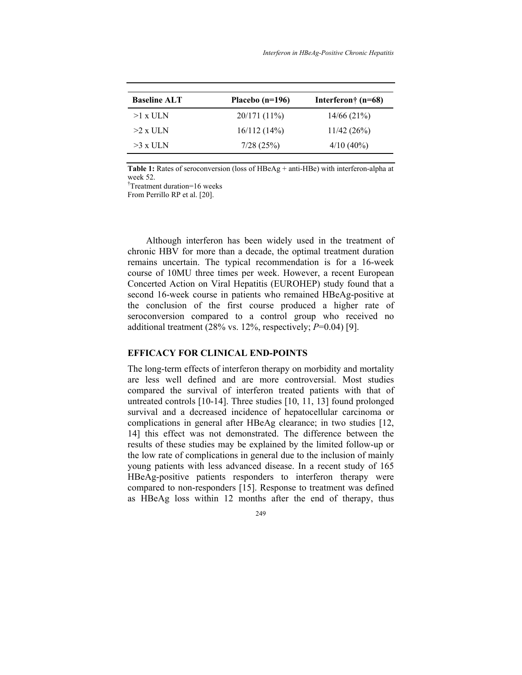| <b>Baseline ALT</b> | Placebo $(n=196)$ | Interferon† $(n=68)$ |
|---------------------|-------------------|----------------------|
| $>1$ x ULN          | $20/171(11\%)$    | 14/66(21%)           |
| $>2 \times$ ULN     | 16/112(14%)       | 11/42(26%)           |
| $>3 \times$ ULN     | 7/28(25%)         | $4/10(40\%)$         |
|                     |                   |                      |

Table 1: Rates of seroconversion (loss of HBeAg + anti-HBe) with interferon-alpha at week 52.

† Treatment duration=16 weeks

From Perrillo RP et al. [20].

Although interferon has been widely used in the treatment of chronic HBV for more than a decade, the optimal treatment duration remains uncertain. The typical recommendation is for a 16-week course of 10MU three times per week. However, a recent European Concerted Action on Viral Hepatitis (EUROHEP) study found that a second 16-week course in patients who remained HBeAg-positive at the conclusion of the first course produced a higher rate of seroconversion compared to a control group who received no additional treatment (28% vs. 12%, respectively; *P*=0.04) [9].

#### **EFFICACY FOR CLINICAL END-POINTS**

The long-term effects of interferon therapy on morbidity and mortality are less well defined and are more controversial. Most studies compared the survival of interferon treated patients with that of untreated controls [10-14]. Three studies [10, 11, 13] found prolonged survival and a decreased incidence of hepatocellular carcinoma or complications in general after HBeAg clearance; in two studies [12, 14] this effect was not demonstrated. The difference between the results of these studies may be explained by the limited follow-up or the low rate of complications in general due to the inclusion of mainly young patients with less advanced disease. In a recent study of 165 HBeAg-positive patients responders to interferon therapy were compared to non-responders [15]. Response to treatment was defined as HBeAg loss within 12 months after the end of therapy, thus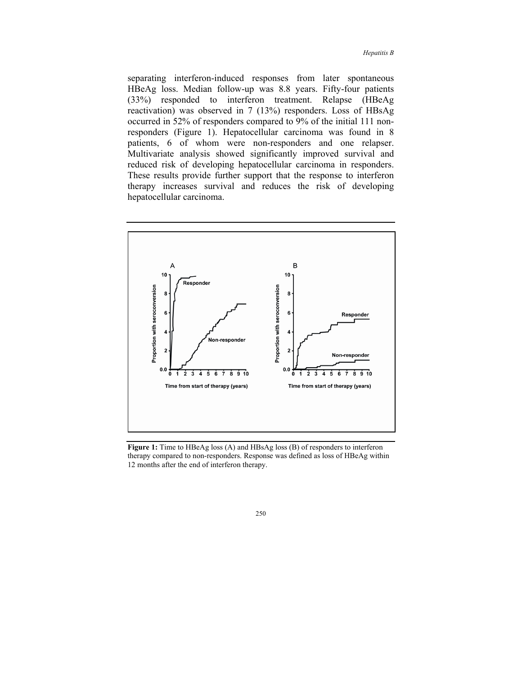separating interferon-induced responses from later spontaneous HBeAg loss. Median follow-up was 8.8 years. Fifty-four patients (33%) responded to interferon treatment. Relapse (HBeAg reactivation) was observed in 7 (13%) responders. Loss of HBsAg occurred in 52% of responders compared to 9% of the initial 111 nonresponders (Figure 1). Hepatocellular carcinoma was found in 8 patients, 6 of whom were non-responders and one relapser. Multivariate analysis showed significantly improved survival and reduced risk of developing hepatocellular carcinoma in responders. These results provide further support that the response to interferon therapy increases survival and reduces the risk of developing hepatocellular carcinoma.



Figure 1: Time to HBeAg loss (A) and HBsAg loss (B) of responders to interferon therapy compared to non-responders. Response was defined as loss of HBeAg within 12 months after the end of interferon therapy.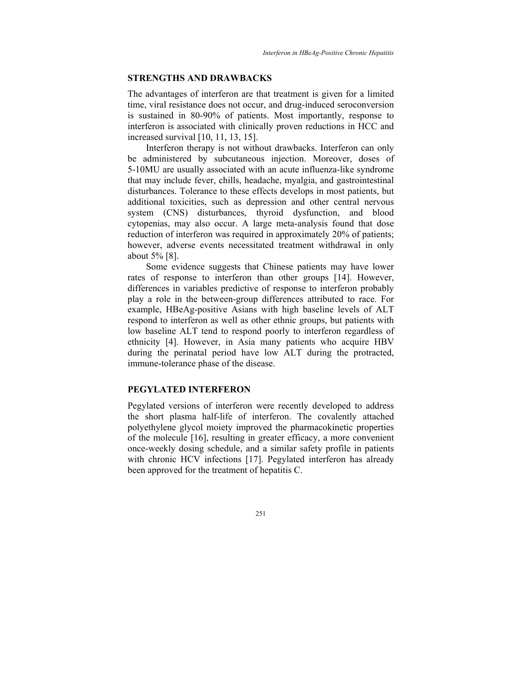#### **STRENGTHS AND DRAWBACKS**

The advantages of interferon are that treatment is given for a limited time, viral resistance does not occur, and drug-induced seroconversion is sustained in 80-90% of patients. Most importantly, response to interferon is associated with clinically proven reductions in HCC and increased survival [10, 11, 13, 15].

Interferon therapy is not without drawbacks. Interferon can only be administered by subcutaneous injection. Moreover, doses of 5-10MU are usually associated with an acute influenza-like syndrome that may include fever, chills, headache, myalgia, and gastrointestinal disturbances. Tolerance to these effects develops in most patients, but additional toxicities, such as depression and other central nervous system (CNS) disturbances, thyroid dysfunction, and blood cytopenias, may also occur. A large meta-analysis found that dose reduction of interferon was required in approximately 20% of patients; however, adverse events necessitated treatment withdrawal in only about 5% [8].

Some evidence suggests that Chinese patients may have lower rates of response to interferon than other groups [14]. However, differences in variables predictive of response to interferon probably play a role in the between-group differences attributed to race. For example, HBeAg-positive Asians with high baseline levels of ALT respond to interferon as well as other ethnic groups, but patients with low baseline ALT tend to respond poorly to interferon regardless of ethnicity [4]. However, in Asia many patients who acquire HBV during the perinatal period have low ALT during the protracted, immune-tolerance phase of the disease.

## **PEGYLATED INTERFERON**

Pegylated versions of interferon were recently developed to address the short plasma half-life of interferon. The covalently attached polyethylene glycol moiety improved the pharmacokinetic properties of the molecule [16], resulting in greater efficacy, a more convenient once-weekly dosing schedule, and a similar safety profile in patients with chronic HCV infections [17]. Pegylated interferon has already been approved for the treatment of hepatitis C.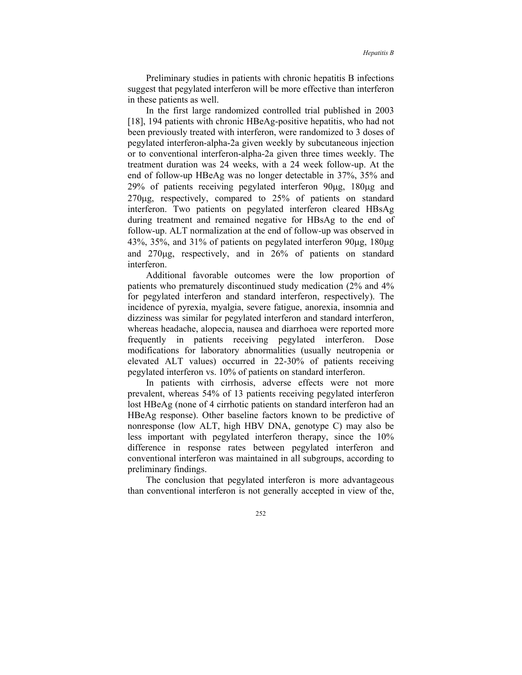Preliminary studies in patients with chronic hepatitis B infections suggest that pegylated interferon will be more effective than interferon in these patients as well.

In the first large randomized controlled trial published in 2003 [18], 194 patients with chronic HBeAg-positive hepatitis, who had not been previously treated with interferon, were randomized to 3 doses of pegylated interferon-alpha-2a given weekly by subcutaneous injection or to conventional interferon-alpha-2a given three times weekly. The treatment duration was 24 weeks, with a 24 week follow-up. At the end of follow-up HBeAg was no longer detectable in 37%, 35% and 29% of patients receiving pegylated interferon 90µg, 180µg and 270µg, respectively, compared to 25% of patients on standard interferon. Two patients on pegylated interferon cleared HBsAg during treatment and remained negative for HBsAg to the end of follow-up. ALT normalization at the end of follow-up was observed in 43%, 35%, and 31% of patients on pegylated interferon 90µg, 180µg and 270µg, respectively, and in 26% of patients on standard interferon.

Additional favorable outcomes were the low proportion of patients who prematurely discontinued study medication (2% and 4% for pegylated interferon and standard interferon, respectively). The incidence of pyrexia, myalgia, severe fatigue, anorexia, insomnia and dizziness was similar for pegylated interferon and standard interferon, whereas headache, alopecia, nausea and diarrhoea were reported more frequently in patients receiving pegylated interferon. Dose modifications for laboratory abnormalities (usually neutropenia or elevated ALT values) occurred in 22-30% of patients receiving pegylated interferon vs. 10% of patients on standard interferon.

In patients with cirrhosis, adverse effects were not more prevalent, whereas 54% of 13 patients receiving pegylated interferon lost HBeAg (none of 4 cirrhotic patients on standard interferon had an HBeAg response). Other baseline factors known to be predictive of nonresponse (low ALT, high HBV DNA, genotype C) may also be less important with pegylated interferon therapy, since the 10% difference in response rates between pegylated interferon and conventional interferon was maintained in all subgroups, according to preliminary findings.

The conclusion that pegylated interferon is more advantageous than conventional interferon is not generally accepted in view of the,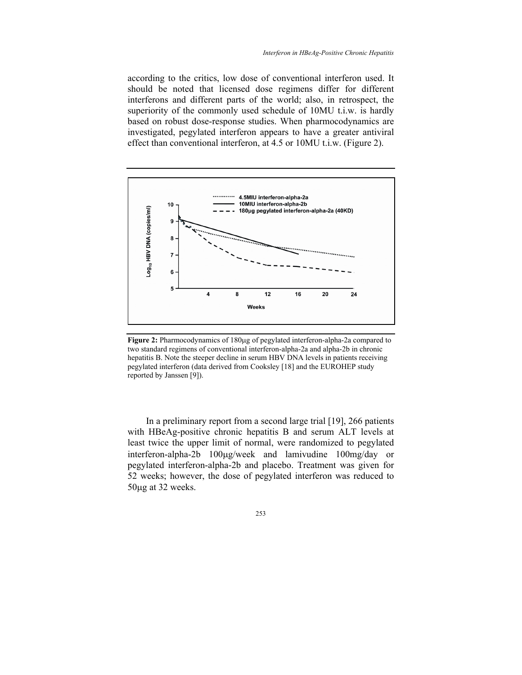according to the critics, low dose of conventional interferon used. It should be noted that licensed dose regimens differ for different interferons and different parts of the world; also, in retrospect, the superiority of the commonly used schedule of 10MU t.i.w. is hardly based on robust dose-response studies. When pharmocodynamics are investigated, pegylated interferon appears to have a greater antiviral effect than conventional interferon, at 4.5 or 10MU t.i.w. (Figure 2).



**Figure 2:** Pharmocodynamics of 180µg of pegylated interferon-alpha-2a compared to two standard regimens of conventional interferon-alpha-2a and alpha-2b in chronic hepatitis B. Note the steeper decline in serum HBV DNA levels in patients receiving pegylated interferon (data derived from Cooksley [18] and the EUROHEP study reported by Janssen [9]).

In a preliminary report from a second large trial [19], 266 patients with HBeAg-positive chronic hepatitis B and serum ALT levels at least twice the upper limit of normal, were randomized to pegylated interferon-alpha-2b 100µg/week and lamivudine 100mg/day or pegylated interferon-alpha-2b and placebo. Treatment was given for 52 weeks; however, the dose of pegylated interferon was reduced to 50µg at 32 weeks.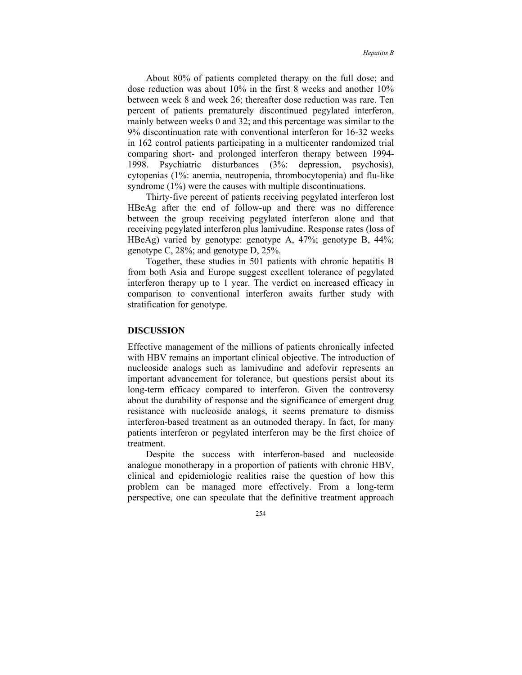About 80% of patients completed therapy on the full dose; and dose reduction was about 10% in the first 8 weeks and another 10% between week 8 and week 26; thereafter dose reduction was rare. Ten percent of patients prematurely discontinued pegylated interferon, mainly between weeks 0 and 32; and this percentage was similar to the 9% discontinuation rate with conventional interferon for 16-32 weeks in 162 control patients participating in a multicenter randomized trial comparing short- and prolonged interferon therapy between 1994- 1998. Psychiatric disturbances (3%: depression, psychosis), cytopenias (1%: anemia, neutropenia, thrombocytopenia) and flu-like syndrome (1%) were the causes with multiple discontinuations.

Thirty-five percent of patients receiving pegylated interferon lost HBeAg after the end of follow-up and there was no difference between the group receiving pegylated interferon alone and that receiving pegylated interferon plus lamivudine. Response rates (loss of HBeAg) varied by genotype: genotype A, 47%; genotype B, 44%; genotype C, 28%; and genotype D, 25%.

Together, these studies in 501 patients with chronic hepatitis B from both Asia and Europe suggest excellent tolerance of pegylated interferon therapy up to 1 year. The verdict on increased efficacy in comparison to conventional interferon awaits further study with stratification for genotype.

#### **DISCUSSION**

Effective management of the millions of patients chronically infected with HBV remains an important clinical objective. The introduction of nucleoside analogs such as lamivudine and adefovir represents an important advancement for tolerance, but questions persist about its long-term efficacy compared to interferon. Given the controversy about the durability of response and the significance of emergent drug resistance with nucleoside analogs, it seems premature to dismiss interferon-based treatment as an outmoded therapy. In fact, for many patients interferon or pegylated interferon may be the first choice of treatment.

Despite the success with interferon-based and nucleoside analogue monotherapy in a proportion of patients with chronic HBV, clinical and epidemiologic realities raise the question of how this problem can be managed more effectively. From a long-term perspective, one can speculate that the definitive treatment approach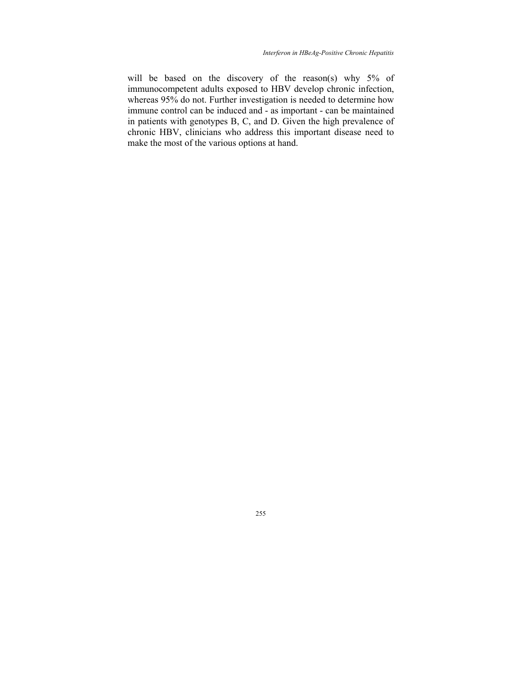will be based on the discovery of the reason(s) why 5% of immunocompetent adults exposed to HBV develop chronic infection, whereas 95% do not. Further investigation is needed to determine how immune control can be induced and - as important - can be maintained in patients with genotypes B, C, and D. Given the high prevalence of chronic HBV, clinicians who address this important disease need to make the most of the various options at hand.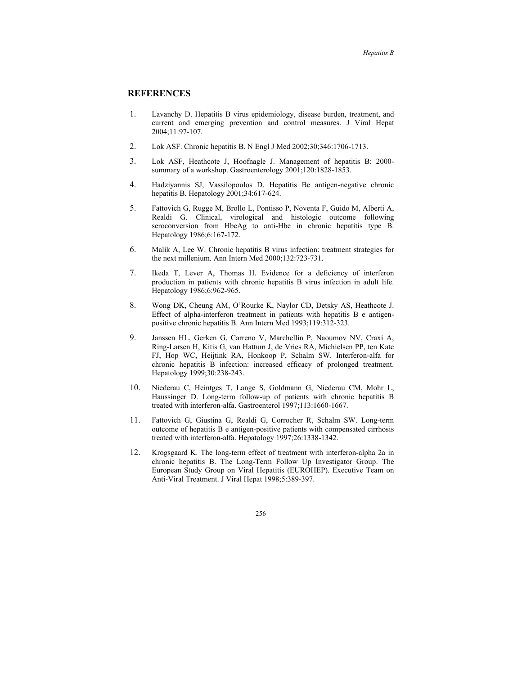## **REFERENCES**

- 1. Lavanchy D. Hepatitis B virus epidemiology, disease burden, treatment, and current and emerging prevention and control measures. J Viral Hepat 2004;11:97-107.
- 2. Lok ASF. Chronic hepatitis B. N Engl J Med 2002;30;346:1706-1713.
- 3. Lok ASF, Heathcote J, Hoofnagle J. Management of hepatitis B: 2000 summary of a workshop. Gastroenterology 2001;120:1828-1853.
- 4. Hadziyannis SJ, Vassilopoulos D. Hepatitis Be antigen-negative chronic hepatitis B. Hepatology 2001;34:617-624.
- 5. Fattovich G, Rugge M, Brollo L, Pontisso P, Noventa F, Guido M, Alberti A, Realdi G. Clinical, virological and histologic outcome following seroconversion from HbeAg to anti-Hbe in chronic hepatitis type B. Hepatology 1986;6:167-172.
- 6. Malik A, Lee W. Chronic hepatitis B virus infection: treatment strategies for the next millenium. Ann Intern Med 2000;132:723-731.
- 7. Ikeda T, Lever A, Thomas H. Evidence for a deficiency of interferon production in patients with chronic hepatitis B virus infection in adult life. Hepatology 1986;6:962-965.
- 8. Wong DK, Cheung AM, O'Rourke K, Naylor CD, Detsky AS, Heathcote J. Effect of alpha-interferon treatment in patients with hepatitis B e antigenpositive chronic hepatitis B. Ann Intern Med 1993;119:312-323.
- 9. Janssen HL, Gerken G, Carreno V, Marchellin P, Naoumov NV, Craxi A, Ring-Larsen H, Kitis G, van Hattum J, de Vries RA, Michielsen PP, ten Kate FJ, Hop WC, Heijtink RA, Honkoop P, Schalm SW. Interferon-alfa for chronic hepatitis B infection: increased efficacy of prolonged treatment. Hepatology 1999;30:238-243.
- 10. Niederau C, Heintges T, Lange S, Goldmann G, Niederau CM, Mohr L, Haussinger D. Long-term follow-up of patients with chronic hepatitis B treated with interferon-alfa. Gastroenterol 1997;113:1660-1667.
- 11. Fattovich G, Giustina G, Realdi G, Corrocher R, Schalm SW. Long-term outcome of hepatitis B e antigen-positive patients with compensated cirrhosis treated with interferon-alfa. Hepatology 1997;26:1338-1342.
- 12. Krogsgaard K. The long-term effect of treatment with interferon-alpha 2a in chronic hepatitis B. The Long-Term Follow Up Investigator Group. The European Study Group on Viral Hepatitis (EUROHEP). Executive Team on Anti-Viral Treatment. J Viral Hepat 1998;5:389-397.